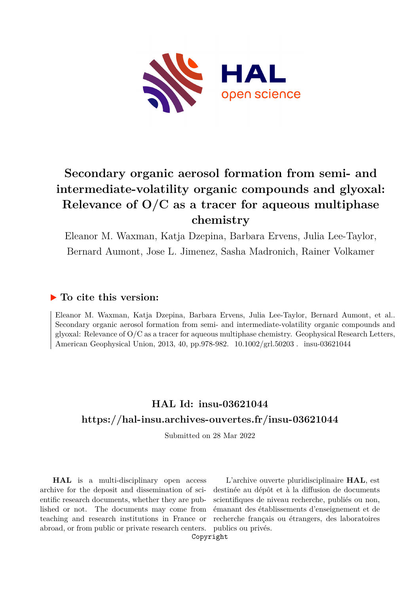

# **Secondary organic aerosol formation from semi- and intermediate-volatility organic compounds and glyoxal: Relevance of O/C as a tracer for aqueous multiphase chemistry**

Eleanor M. Waxman, Katja Dzepina, Barbara Ervens, Julia Lee-Taylor, Bernard Aumont, Jose L. Jimenez, Sasha Madronich, Rainer Volkamer

## **To cite this version:**

Eleanor M. Waxman, Katja Dzepina, Barbara Ervens, Julia Lee-Taylor, Bernard Aumont, et al.. Secondary organic aerosol formation from semi- and intermediate-volatility organic compounds and glyoxal: Relevance of O/C as a tracer for aqueous multiphase chemistry. Geophysical Research Letters, American Geophysical Union, 2013, 40, pp.978-982.  $10.1002\text{/grl.}50203$ . insu-03621044

# **HAL Id: insu-03621044 <https://hal-insu.archives-ouvertes.fr/insu-03621044>**

Submitted on 28 Mar 2022

**HAL** is a multi-disciplinary open access archive for the deposit and dissemination of scientific research documents, whether they are published or not. The documents may come from teaching and research institutions in France or abroad, or from public or private research centers.

L'archive ouverte pluridisciplinaire **HAL**, est destinée au dépôt et à la diffusion de documents scientifiques de niveau recherche, publiés ou non, émanant des établissements d'enseignement et de recherche français ou étrangers, des laboratoires publics ou privés.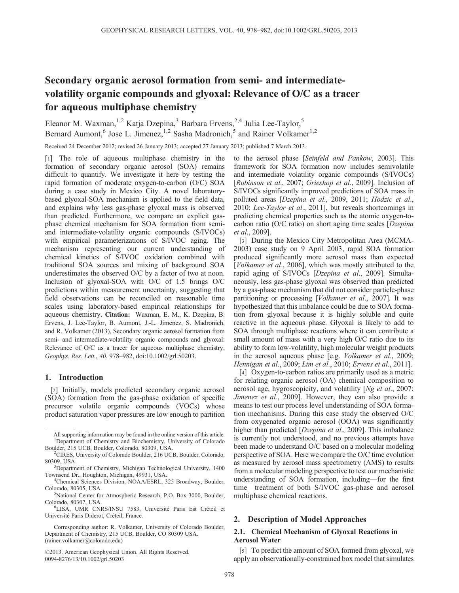## Secondary organic aerosol formation from semi- and intermediatevolatility organic compounds and glyoxal: Relevance of O/C as a tracer for aqueous multiphase chemistry

Eleanor M. Waxman,<sup>1,2</sup> Katja Dzepina,<sup>3</sup> Barbara Ervens,<sup>2,4</sup> Julia Lee-Taylor,<sup>5</sup> Bernard Aumont,<sup>6</sup> Jose L. Jimenez,<sup>1,2</sup> Sasha Madronich,<sup>5</sup> and Rainer Volkamer<sup>1,2</sup>

Received 24 December 2012; revised 26 January 2013; accepted 27 January 2013; published 7 March 2013.

[1] The role of aqueous multiphase chemistry in the formation of secondary organic aerosol (SOA) remains difficult to quantify. We investigate it here by testing the rapid formation of moderate oxygen-to-carbon (O/C) SOA during a case study in Mexico City. A novel laboratorybased glyoxal-SOA mechanism is applied to the field data, and explains why less gas-phase glyoxal mass is observed than predicted. Furthermore, we compare an explicit gasphase chemical mechanism for SOA formation from semiand intermediate-volatility organic compounds (S/IVOCs) with empirical parameterizations of S/IVOC aging. The mechanism representing our current understanding of chemical kinetics of S/IVOC oxidation combined with traditional SOA sources and mixing of background SOA underestimates the observed O/C by a factor of two at noon. Inclusion of glyoxal-SOA with O/C of 1.5 brings O/C predictions within measurement uncertainty, suggesting that field observations can be reconciled on reasonable time scales using laboratory-based empirical relationships for aqueous chemistry. Citation: Waxman, E. M., K. Dzepina, B. Ervens, J. Lee-Taylor, B. Aumont, J.-L. Jimenez, S. Madronich, and R. Volkamer (2013), Secondary organic aerosol formation from semi- and intermediate-volatility organic compounds and glyoxal: Relevance of O/C as a tracer for aqueous multiphase chemistry, Geophys. Res. Lett., 40, 978–982, doi:10.1002/grl.50203.

## 1. Introduction

[2] Initially, models predicted secondary organic aerosol (SOA) formation from the gas-phase oxidation of specific precursor volatile organic compounds (VOCs) whose product saturation vapor pressures are low enough to partition

©2013. American Geophysical Union. All Rights Reserved. 0094-8276/13/10.1002/grl.50203

to the aerosol phase [Seinfeld and Pankow, 2003]. This framework for SOA formation now includes semivolatile and intermediate volatility organic compounds (S/IVOCs) [Robinson et al., 2007; Grieshop et al., 2009]. Inclusion of S/IVOCs significantly improved predictions of SOA mass in polluted areas [Dzepina et al., 2009, 2011; Hodzic et al., 2010; Lee-Taylor et al., 2011], but reveals shortcomings in predicting chemical properties such as the atomic oxygen-tocarbon ratio (O/C ratio) on short aging time scales [Dzepina et al., 2009].

[3] During the Mexico City Metropolitan Area (MCMA-2003) case study on 9 April 2003, rapid SOA formation produced significantly more aerosol mass than expected [Volkamer et al., 2006], which was mostly attributed to the rapid aging of S/IVOCs [Dzepina et al., 2009]. Simultaneously, less gas-phase glyoxal was observed than predicted by a gas-phase mechanism that did not consider particle-phase partitioning or processing [*Volkamer et al.*, 2007]. It was hypothesized that this imbalance could be due to SOA formation from glyoxal because it is highly soluble and quite reactive in the aqueous phase. Glyoxal is likely to add to SOA through multiphase reactions where it can contribute a small amount of mass with a very high O/C ratio due to its ability to form low-volatility, high molecular weight products in the aerosol aqueous phase [e.g. Volkamer et al., 2009; Hennigan et al., 2009; Lim et al., 2010; Ervens et al., 2011].

[4] Oxygen-to-carbon ratios are primarily used as a metric for relating organic aerosol (OA) chemical composition to aerosol age, hygroscopicity, and volatility [Ng et al., 2007; Jimenez et al., 2009]. However, they can also provide a means to test our process level understanding of SOA formation mechanisms. During this case study the observed O/C from oxygenated organic aerosol (OOA) was significantly higher than predicted [*Dzepina et al.*, 2009]. This imbalance is currently not understood, and no previous attempts have been made to understand O/C based on a molecular modeling perspective of SOA. Here we compare the O/C time evolution as measured by aerosol mass spectrometry (AMS) to results from a molecular modeling perspective to test our mechanistic understanding of SOA formation, including—for the first time—treatment of both S/IVOC gas-phase and aerosol multiphase chemical reactions.

## 2. Description of Model Approaches

### 2.1. Chemical Mechanism of Glyoxal Reactions in Aerosol Water

[5] To predict the amount of SOA formed from glyoxal, we apply an observationally-constrained box model that simulates

All supporting information may be found in the online version of this article. <sup>1</sup>Department of Chemistry and Biochemistry, University of Colorado Boulder, 215 UCB, Boulder, Colorado, 80309, USA. <sup>2</sup>

<sup>&</sup>lt;sup>2</sup>CIRES, University of Colorado Boulder, 216 UCB, Boulder, Colorado, 80309, USA.

<sup>&</sup>lt;sup>3</sup>Department of Chemistry, Michigan Technological University, 1400 Townsend Dr., Houghton, Michigan, 49931, USA.

Chemical Sciences Division, NOAA/ESRL, 325 Broadway, Boulder, Colorado, 80305, USA.

National Center for Atmospheric Research, P.O. Box 3000, Boulder, Colorado, 80307, USA.

LISA, UMR CNRS/INSU 7583, Université Paris Est Créteil et Université Paris Diderot, Créteil, France.

Corresponding author: R. Volkamer, University of Colorado Boulder, Department of Chemistry, 215 UCB, Boulder, CO 80309 USA. (rainer.volkamer@colorado.edu)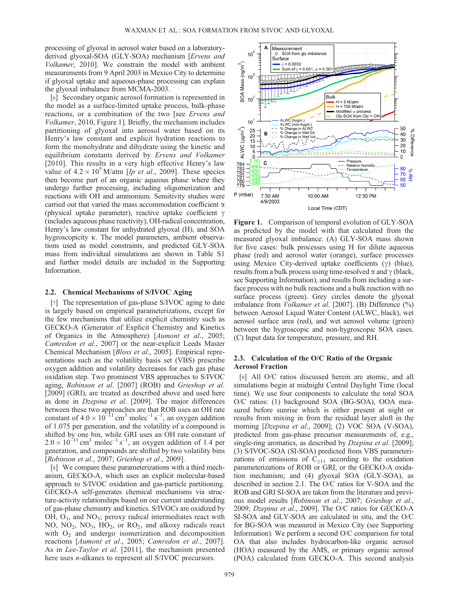processing of glyoxal in aerosol water based on a laboratoryderived glyoxal-SOA (GLY-SOA) mechanism [Ervens and Volkamer, 2010]. We constrain the model with ambient measurements from 9 April 2003 in Mexico City to determine if glyoxal uptake and aqueous-phase processing can explain the glyoxal imbalance from MCMA-2003.

[6] Secondary organic aerosol formation is represented in the model as a surface-limited uptake process, bulk-phase reactions, or a combination of the two [see Ervens and Volkamer, 2010, Figure 1]. Briefly, the mechanism includes partitioning of glyoxal into aerosol water based on its Henry's law constant and explicit hydration reactions to form the monohydrate and dihydrate using the kinetic and equilibrium constants derived by Ervens and Volkamer [2010]. This results in a very high effective Henry's law value of  $4.2 \times 10^{5}$  M/atm [*Ip et al.*, 2009]. These species then become part of an organic aqueous phase where they undergo further processing, including oligomerization and reactions with OH and ammonium. Sensitivity studies were carried out that varied the mass accommodation coefficient  $\alpha$ (physical uptake parameter), reactive uptake coefficient  $\gamma$ (includes aqueous phase reactivity), OH-radical concentration, Henry's law constant for unhydrated glyoxal (H), and SOA hygroscopicity k. The model parameters, ambient observa-tions used as model constraints, and predicted GLY-SOA mass from individual simulations are shown in Table S1 and further model details are included in the Supporting Information.

#### 2.2. Chemical Mechanisms of S/IVOC Aging

[7] The representation of gas-phase S/IVOC aging to date is largely based on empirical parameterizations, except for the few mechanisms that utilize explicit chemistry such as GECKO-A (Generator of Explicit Chemistry and Kinetics of Organics in the Atmosphere) [Aumont et al., 2005; Camredon et al., 2007] or the near-explicit Leeds Master Chemical Mechanism [Bloss et al., 2005]. Empirical representations such as the volatility basis set (VBS) prescribe oxygen addition and volatility decreases for each gas phase oxidation step. Two prominent VBS approaches to S/IVOC aging, Robinson et al. [2007] (ROB) and Grieshop et al. [2009] (GRI), are treated as described above and used here as done in Dzepina et al. [2009]. The major differences between these two approaches are that ROB uses an OH rate constant of  $4.0 \times 10^{-11}$  cm<sup>3</sup> molec<sup>-1</sup> s<sup>-1</sup>, an oxygen addition of 1.075 per generation, and the volatility of a compound is shifted by one bin, while GRI uses an OH rate constant of  $2.0 \times 10^{-11}$  cm<sup>3</sup> molec<sup>-1</sup> s<sup>-1</sup>, an oxygen addition of 1.4 per generation, and compounds are shifted by two volatility bins [Robinson et al., 2007; Grieshop et al., 2009].

[8] We compare these parameterizations with a third mechanism, GECKO-A, which uses an explicit molecular-based approach to S/IVOC oxidation and gas-particle partitioning. GECKO-A self-generates chemical mechanisms via structure-activity relationships based on our current understanding of gas-phase chemistry and kinetics. S/IVOCs are oxidized by  $OH, O<sub>3</sub>, and NO<sub>3</sub>; peroxy radical intermediates react with$ NO,  $NO<sub>2</sub>$ ,  $NO<sub>3</sub>$ ,  $HO<sub>2</sub>$ , or  $RO<sub>2</sub>$ , and alkoxy radicals react with  $O<sub>2</sub>$  and undergo isomerization and decomposition reactions [Aumont et al., 2005; Camredon et al., 2007]. As in *Lee-Taylor et al.* [2011], the mechanism presented here uses *n*-alkanes to represent all S/IVOC precursors.



Figure 1. Comparison of temporal evolution of GLY-SOA as predicted by the model with that calculated from the measured glyoxal imbalance. (A) GLY-SOA mass shown for five cases: bulk processes using H for dilute aqueous phase (red) and aerosol water (orange), surface processes using Mexico City-derived uptake coefficients  $(\gamma)$  (blue), results from a bulk process using time-resolved  $\alpha$  and  $\gamma$  (black, see Supporting Information), and results from including a surface process with no bulk reactions and a bulk reaction with no surface process (green). Grey circles denote the glyoxal imbalance from *Volkamer et al.* [2007]. (B) Difference (%) between Aerosol Liquid Water Content (ALWC, black), wet aerosol surface area (red), and wet aerosol volume (green) between the hygroscopic and non-hygroscopic SOA cases. (C) Input data for temperature, pressure, and RH.

## 2.3. Calculation of the O/C Ratio of the Organic Aerosol Fraction

[9] All O/C ratios discussed herein are atomic, and all simulations begin at midnight Central Daylight Time (local time). We use four components to calculate the total SOA O/C ratios: (1) background SOA (BG-SOA), OOA measured before sunrise which is either present at night or results from mixing in from the residual layer aloft in the morning [Dzepina et al., 2009]; (2) VOC SOA (V-SOA), predicted from gas-phase precursor measurements of, e.g., single-ring aromatics, as described by *Dzepina et al.* [2009]; (3) S/IVOC-SOA (SI-SOA) predicted from VBS parameterizations of emissions of  $C_{\geq 11}$  according to the oxidation parameterizations of ROB or GRI, or the GECKO-A oxidation mechanism; and (4) glyoxal SOA (GLY-SOA), as described in section 2.1. The O/C ratios for V-SOA and the ROB and GRI SI-SOA are taken from the literature and previous model results [Robinson et al., 2007; Grieshop et al., 2009; Dzepina et al., 2009]. The O/C ratios for GECKO-A SI-SOA and GLY-SOA are calculated in situ, and the O/C for BG-SOA was measured in Mexico City (see Supporting Information). We perform a second O/C comparison for total OA that also includes hydrocarbon-like organic aerosol (HOA) measured by the AMS, or primary organic aerosol (POA) calculated from GECKO-A. This second analysis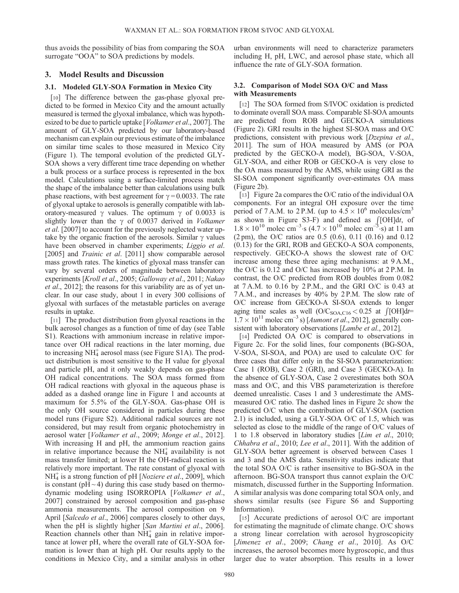thus avoids the possibility of bias from comparing the SOA surrogate "OOA" to SOA predictions by models.

## 3. Model Results and Discussion

## 3.1. Modeled GLY-SOA Formation in Mexico City

[10] The difference between the gas-phase glyoxal predicted to be formed in Mexico City and the amount actually measured is termed the glyoxal imbalance, which was hypothesized to be due to particle uptake [Volkamer et al., 2007]. The amount of GLY-SOA predicted by our laboratory-based mechanism can explain our previous estimate of the imbalance on similar time scales to those measured in Mexico City (Figure 1). The temporal evolution of the predicted GLY-SOA shows a very different time trace depending on whether a bulk process or a surface process is represented in the box model. Calculations using a surface-limited process match the shape of the imbalance better than calculations using bulk phase reactions, with best agreement for  $\gamma = 0.0033$ . The rate of glyoxal uptake to aerosols is generally compatible with lab-<br>oratory-measured  $\gamma$  values. The optimum  $\gamma$  of 0.0033 is slightly lower than the  $\gamma$  of 0.0037 derived in *Volkamer* slightly lower than the  $\gamma$  of 0.0037 derived in *Volkamer et al.* [2007] to account for the previously neglected water uptake by the organic fraction of the aerosols. Similar  $\gamma$  values have been observed in chamber experiments; *Liggio et al.* [2005] and *Trainic et al.* [2011] show comparable aerosol mass growth rates. The kinetics of glyoxal mass transfer can vary by several orders of magnitude between laboratory experiments [Kroll et al., 2005; Galloway et al., 2011; Nakao et al., 2012]; the reasons for this variability are as of yet unclear. In our case study, about 1 in every 300 collisions of glyoxal with surfaces of the metastable particles on average results in uptake.

[11] The product distribution from glyoxal reactions in the bulk aerosol changes as a function of time of day (see Table S1). Reactions with ammonium increase in relative importance over OH radical reactions in the later morning, due to increasing NH<sub>4</sub> aerosol mass (see Figure S1A). The product distribution is most sensitive to the H value for glyoxal and particle pH, and it only weakly depends on gas-phase OH radical concentrations. The SOA mass formed from OH radical reactions with glyoxal in the aqueous phase is added as a dashed orange line in Figure 1 and accounts at maximum for 5.5% of the GLY-SOA. Gas-phase OH is the only OH source considered in particles during these model runs (Figure S2). Additional radical sources are not considered, but may result from organic photochemistry in aerosol water [Volkamer et al., 2009; Monge et al., 2012]. With increasing H and pH, the ammonium reaction gains in relative importance because the  $NH<sub>4</sub><sup>+</sup>$  availability is not mass transfer limited; at lower H the OH-radical reaction is relatively more important. The rate constant of glyoxal with  $NH<sub>4</sub><sup>+</sup>$  is a strong function of pH [*Noziere et al.*, 2009], which is constant ( $pH \sim 4$ ) during this case study based on thermodynamic modeling using ISORROPIA [Volkamer et al., 2007] constrained by aerosol composition and gas-phase ammonia measurements. The aerosol composition on 9 April [Salcedo et al., 2006] compares closely to other days, when the pH is slightly higher [San Martini et al., 2006]. Reaction channels other than  $NH<sub>4</sub><sup>+</sup>$  gain in relative importance at lower pH, where the overall rate of GLY-SOA formation is lower than at high pH. Our results apply to the conditions in Mexico City, and a similar analysis in other

urban environments will need to characterize parameters including H, pH, LWC, and aerosol phase state, which all influence the rate of GLY-SOA formation.

## 3.2. Comparison of Model SOA O/C and Mass with Measurements

[12] The SOA formed from S/IVOC oxidation is predicted to dominate overall SOA mass. Comparable SI-SOA amounts are predicted from ROB and GECKO-A simulations (Figure 2). GRI results in the highest SI-SOA mass and O/C predictions, consistent with previous work [Dzepina et al., 2011]. The sum of HOA measured by AMS (or POA predicted by the GECKO-A model), BG-SOA, V-SOA, GLY-SOA, and either ROB or GECKO-A is very close to the OA mass measured by the AMS, while using GRI as the SI-SOA component significantly over-estimates OA mass (Figure 2b).

[13] Figure 2a compares the O/C ratio of the individual OA components. For an integral OH exposure over the time period of 7 A.M. to 2 P.M. (up to  $4.5 \times 10^6$  molecules/cm<sup>3</sup> as shown in Figure S3-F) and defined as  $\int$ [OH]dt, of  $1.8 \times 10^{10}$  molec cm<sup>-3</sup> s  $(4.7 \times 10^{10}$  molec cm<sup>-3</sup> s) at 11 am (2 pm), the O/C ratios are 0.5 (0.6), 0.11 (0.16) and 0.12 (0.13) for the GRI, ROB and GECKO-A SOA components, respectively. GECKO-A shows the slowest rate of O/C increase among these three aging mechanisms: at 9 A.M., the O/C is 0.12 and O/C has increased by 10% at 2 P.M. In contrast, the O/C predicted from ROB doubles from 0.082 at  $7 A.M.$  to  $0.16$  by  $2 P.M.,$  and the GRI O/C is 0.43 at 7 A.M., and increases by 40% by 2 P.M. The slow rate of O/C increase from GECKO-A SI-SOA extends to longer aging time scales as well  $(O/C<sub>SOA,C16</sub> < 0.25$  at  $\int [OH]dt=$  $1.7 \times 10^{11}$  molec cm<sup>-3</sup> s) [*Aumont et al.*, 2012], generally consistent with laboratory observations [Lambe et al., 2012].

[14] Predicted OA O/C is compared to observations in Figure 2c. For the solid lines, four components (BG-SOA, V-SOA, SI-SOA, and POA) are used to calculate O/C for three cases that differ only in the SI-SOA parameterization: Case 1 (ROB), Case 2 (GRI), and Case 3 (GECKO-A). In the absence of GLY-SOA, Case 2 overestimates both SOA mass and O/C, and this VBS parameterization is therefore deemed unrealistic. Cases 1 and 3 underestimate the AMSmeasured O/C ratio. The dashed lines in Figure 2c show the predicted O/C when the contribution of GLY-SOA (section 2.1) is included, using a GLY-SOA O/C of 1.5, which was selected as close to the middle of the range of O/C values of 1 to 1.8 observed in laboratory studies [Lim et al., 2010; Chhabra et al., 2010; Lee et al., 2011]. With the addition of GLY-SOA better agreement is observed between Cases 1 and 3 and the AMS data. Sensitivity studies indicate that the total SOA O/C is rather insensitive to BG-SOA in the afternoon. BG-SOA transport thus cannot explain the O/C mismatch, discussed further in the Supporting Information. A similar analysis was done comparing total SOA only, and shows similar results (see Figure S6 and Supporting Information).

[15] Accurate predictions of aerosol O/C are important for estimating the magnitude of climate change. O/C shows a strong linear correlation with aerosol hygroscopicity [Jimenez et al., 2009; Chang et al., 2010]. As O/C increases, the aerosol becomes more hygroscopic, and thus larger due to water absorption. This results in a lower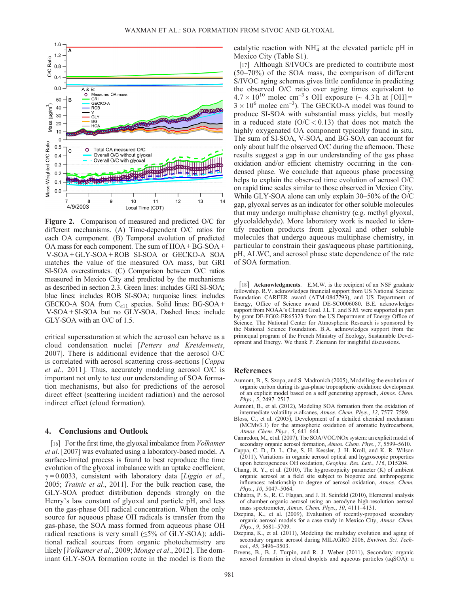

Figure 2. Comparison of measured and predicted O/C for different mechanisms. (A) Time-dependent O/C ratios for each OA component. (B) Temporal evolution of predicted OA mass for each component. The sum of HOA + BG-SOA + V-SOA + GLY-SOA + ROB SI-SOA or GECKO-A SOA matches the value of the measured OA mass, but GRI SI-SOA overestimates. (C) Comparison between O/C ratios measured in Mexico City and predicted by the mechanisms as described in section 2.3. Green lines: includes GRI SI-SOA; blue lines: includes ROB SI-SOA; turquoise lines: includes GECKO-A SOA from  $C_{\geq 11}$  species. Solid lines: BG-SOA + V-SOA + SI-SOA but no GLY-SOA. Dashed lines: include GLY-SOA with an O/C of 1.5.

critical supersaturation at which the aerosol can behave as a cloud condensation nuclei [Petters and Kreidenweis, 2007]. There is additional evidence that the aerosol O/C is correlated with aerosol scattering cross-sections [Cappa et al., 2011]. Thus, accurately modeling aerosol O/C is important not only to test our understanding of SOA formation mechanisms, but also for predictions of the aerosol direct effect (scattering incident radiation) and the aerosol indirect effect (cloud formation).

## 4. Conclusions and Outlook

[16] For the first time, the glyoxal imbalance from *Volkamer* et al. [2007] was evaluated using a laboratory-based model. A surface-limited process is found to best reproduce the time evolution of the glyoxal imbalance with an uptake coefficient,  $\gamma = 0.0033$ , consistent with laboratory data [Liggio et al., 2005; Trainic et al., 2011]. For the bulk reaction case, the GLY-SOA product distribution depends strongly on the Henry's law constant of glyoxal and particle pH, and less on the gas-phase OH radical concentration. When the only source for aqueous phase OH radicals is transfer from the gas-phase, the SOA mass formed from aqueous phase OH radical reactions is very small (≤5% of GLY-SOA); additional radical sources from organic photochemistry are likely [Volkamer et al., 2009; Monge et al., 2012]. The dominant GLY-SOA formation route in the model is from the

catalytic reaction with  $NH_4^+$  at the elevated particle pH in Mexico City (Table S1).

[17] Although S/IVOCs are predicted to contribute most (50–70%) of the SOA mass, the comparison of different S/IVOC aging schemes gives little confidence in predicting the observed O/C ratio over aging times equivalent to  $4.7 \times 10^{10}$  molec cm<sup>-3</sup> s OH exposure (~ 4.3 h at [OH] =  $3 \times 10^6$  molec cm<sup>-3</sup>). The GECKO-A model was found to produce SI-SOA with substantial mass yields, but mostly in a reduced state  $(O/C < 0.13)$  that does not match the highly oxygenated OA component typically found in situ. The sum of SI-SOA, V-SOA, and BG-SOA can account for only about half the observed O/C during the afternoon. These results suggest a gap in our understanding of the gas phase oxidation and/or efficient chemistry occurring in the condensed phase. We conclude that aqueous phase processing helps to explain the observed time evolution of aerosol O/C on rapid time scales similar to those observed in Mexico City. While GLY-SOA alone can only explain 30–50% of the O/C gap, glyoxal serves as an indicator for other soluble molecules that may undergo multiphase chemistry (e.g. methyl glyoxal, glycolaldehyde). More laboratory work is needed to identify reaction products from glyoxal and other soluble molecules that undergo aqueous multiphase chemistry, in particular to constrain their gas/aqueous phase partitioning, pH, ALWC, and aerosol phase state dependence of the rate of SOA formation.

[18] **Acknowledgments.** E.M.W. is the recipient of an NSF graduate fellowship. R.V. acknowledges financial support from US National Science Foundation CAREER award (ATM-0847793), and US Department of Energy, Office of Science award DE-SC0006080. B.E. acknowledges support from NOAA's Climate Goal. J.L.T. and S.M. were supported in part by grant DE-FG02-ER65323 from the US Department of Energy Office of Science. The National Center for Atmospheric Research is sponsored by the National Science Foundation. B.A. acknowledges support from the primequal program of the French Ministry of Ecology, Sustainable Development and Energy. We thank P. Ziemann for insightful discussions.

#### References

- Aumont, B., S. Szopa, and S. Madronich (2005), Modelling the evolution of organic carbon during its gas-phase tropospheric oxidation: development of an explicit model based on a self generating approach, Atmos. Chem. Phys., 5, 2497–2517.
- Aumont, B., et al. (2012), Modeling SOA formation from the oxidation of intermediate volatility n-alkanes, Atmos. Chem. Phys., 12, 7577–7589.
- Bloss, C., et al. (2005), Development of a detailed chemical mechanism (MCMv3.1) for the atmospheric oxidation of aromatic hydrocarbons, Atmos. Chem. Phys., 5, 641–664.
- Camredon, M., et al. (2007), The SOA/VOC/NOx system: an explicit model of secondary organic aerosol formation, Atmos. Chem. Phys., 7, 5599-5610.
- Cappa, C. D., D. L. Che, S. H. Kessler, J. H. Kroll, and K. R. Wilson (2011), Variations in organic aerosol optical and hygroscopic properties upon heterogeneous OH oxidation, Geophys. Res. Lett., 116, D15204.
- Chang, R. Y., et al. (2010), The hygroscopicity parameter (K) of ambient organic aerosol at a field site subject to biogenic and anthropogenic influences: relationship to degree of aerosol oxidation, Atmos. Chem. Phys., 10, 5047–5064.
- Chhabra, P. S., R. C. Flagan, and J. H. Seinfeld (2010), Elemental analysis of chamber organic aerosol using an aerodyne high-resolution aerosol mass spectrometer, Atmos. Chem. Phys., 10, 4111–4131.
- Dzepina, K., et al. (2009), Evaluation of recently-proposed secondary organic aerosol models for a case study in Mexico City, Atmos. Chem. Phys., 9, 5681–5709.
- Dzepina, K., et al. (2011), Modeling the multiday evolution and aging of secondary organic aerosol during MILAGRO 2006, Environ. Sci. Technol., 45, 3496–3503.
- Ervens, B., B. J. Turpin, and R. J. Weber (2011), Secondary organic aerosol formation in cloud droplets and aqueous particles (aqSOA): a